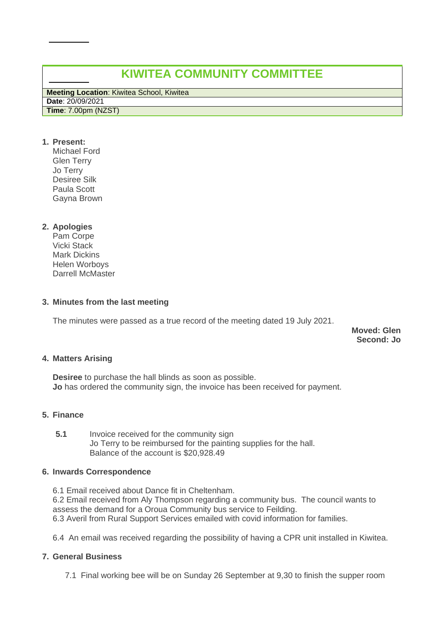# **KIWITEA COMMUNITY COMMITTEE**

**Meeting Location**: Kiwitea School, Kiwitea **Date**: 20/09/2021

**Time**: 7.00pm (NZST)

**1. Present:** 

Michael Ford Glen Terry Jo Terry Desiree Silk Paula Scott Gayna Brown

# **2. Apologies**

Pam Corpe Vicki Stack Mark Dickins Helen Worboys Darrell McMaster

# **3. Minutes from the last meeting**

The minutes were passed as a true record of the meeting dated 19 July 2021.

**Moved: Glen Second: Jo**

# **4. Matters Arising**

**Desiree** to purchase the hall blinds as soon as possible. **Jo** has ordered the community sign, the invoice has been received for payment.

# **5. Finance**

**5.1** Invoice received for the community sign Jo Terry to be reimbursed for the painting supplies for the hall. Balance of the account is \$20,928.49

# **6. Inwards Correspondence**

6.1 Email received about Dance fit in Cheltenham. 6.2 Email received from Aly Thompson regarding a community bus. The council wants to assess the demand for a Oroua Community bus service to Feilding. 6.3 Averil from Rural Support Services emailed with covid information for families.

6.4 An email was received regarding the possibility of having a CPR unit installed in Kiwitea.

# **7. General Business**

7.1 Final working bee will be on Sunday 26 September at 9,30 to finish the supper room